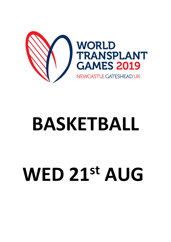

# **BASKETBALL**

## **WED 21st AUG**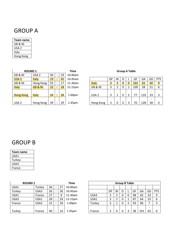#### GROUP A

| Team name |
|-----------|
| GB & NI   |
| USA 2     |
| Italy     |
| Hong Kong |

| <b>ROUND1</b>    |                    |    |           |    | Time               | <b>Group A Table</b> |    |   |                |          |     |     |  |
|------------------|--------------------|----|-----------|----|--------------------|----------------------|----|---|----------------|----------|-----|-----|--|
| GB & NI          | USA <sub>2</sub>   | 36 |           | 19 | 10.00am            |                      |    |   |                |          |     |     |  |
| USA <sub>2</sub> | <b>Italy</b>       | 19 |           | 45 | 10.45am            |                      | GP | W | D              |          | GF  | GA  |  |
| GB & NI          | Hong Kong          | 55 |           | 17 | 11.30am            | <b>Italy</b>         | 3  | 3 | $\overline{0}$ | $\Omega$ | 101 | 61  |  |
| <b>Italy</b>     | <b>GB &amp; NI</b> | 22 |           | 18 | 12.15pm            | GB & NI              | 3  |   | 0              |          | 109 | 58  |  |
|                  |                    |    |           |    |                    |                      |    |   |                |          |     |     |  |
| <b>Hong Kong</b> | <b>Italy</b>       | 24 | $\bullet$ | 34 | 1.00 <sub>pm</sub> | USA <sub>2</sub>     | 3  |   | 0              |          | 77  | 110 |  |
|                  |                    |    |           |    |                    |                      |    |   |                |          |     |     |  |
| USA <sub>2</sub> | Hong Kong          | 39 |           | 29 | 1.45 <sub>pm</sub> | Hong Kong            |    |   | 0              |          | 70  | 128 |  |

#### **Group A Table**

| USA <sub>2</sub> | <b>Italy</b>       | 19              | 45 | 10.45am            |              | GP | W | D              | GF  | GA  | GD                       | <b>PTS</b>     |
|------------------|--------------------|-----------------|----|--------------------|--------------|----|---|----------------|-----|-----|--------------------------|----------------|
| GB & NI          | Hong Kong          | 55              | 17 | 11.30am            | <b>Italy</b> | 3  | 3 | $\overline{0}$ | 101 | 61  | 40                       | $\overline{9}$ |
| Italy            | <b>GB &amp; NI</b> | 22 <sup>2</sup> | 18 | 12.15pm            | GB & NI      | 3  |   | 0              | 109 | 58  | 51                       | 6              |
|                  |                    |                 |    |                    |              |    |   |                |     |     | $\overline{\phantom{0}}$ |                |
| <b>Hong Kong</b> | <b>Italy</b>       | 24              | 34 | 1.00 <sub>pm</sub> | USA 2        |    |   |                |     | 110 | 33                       | 3              |
|                  |                    |                 |    |                    |              |    |   |                |     |     | $\overline{\phantom{0}}$ |                |
| USA <sub>2</sub> | Hong Kong          | 39              | 29 | 1.45pm             | Hong Kong    |    | 0 | 0              | 70  | 128 | 58                       | 0              |

### GROUP B

| Team name |
|-----------|
| USA1      |
| Turkey    |
| USA3      |
| France    |

| <b>ROUND 1</b> |        |    |    | Time               | <b>Group B Table</b> |    |   |   |   |    |     |
|----------------|--------|----|----|--------------------|----------------------|----|---|---|---|----|-----|
| USA1           | Turkey | 36 | 27 | 10.00am            |                      |    |   |   |   |    |     |
| Turkey         | USA3   | 26 | 36 | 10.45am            |                      | GP | W | D |   | GF | GA  |
| USA1           | France | 27 | 9  | 11.30am            | USA3                 | 3  | 3 | 0 | 0 | 98 | 65  |
| USA3           | USA1   | 28 | 24 | 12.15pm            | USA1                 | 3  | 2 | 0 | 1 | 87 | 64  |
| France         | USA3   | 15 | 34 | 1.00 <sub>pm</sub> | Turkey               | 3  |   | 0 | 2 | 93 | 86  |
|                |        |    |    |                    |                      |    |   |   |   |    |     |
| Turkey         | France | 40 | 14 | 1.45 <sub>pm</sub> | France               | 3  | 0 |   | 3 | 38 | 101 |

| <b>ROUND1</b> |        |    |           |    | Time               | <b>Group B Table</b> |    |   |   |   |    |     |    |            |
|---------------|--------|----|-----------|----|--------------------|----------------------|----|---|---|---|----|-----|----|------------|
| USA1          | Turkey | 36 | $\cdot$   | 27 | 10.00am            |                      |    |   |   |   |    |     |    |            |
| Turkey        | USA3   | 26 | $\cdot$   | 36 | 10.45am            |                      | GP | w | D |   | GF | GА  | GD | <b>PTS</b> |
| USA1          | France | 27 | $\cdot$   | 9  | 11.30am            | USA3                 | 3  |   | 0 | 0 | 98 | 65  | 33 | 9          |
| USA3          | USA1   | 28 | $\bullet$ | 24 | 12.15pm            | USA1                 | 3  |   | 0 |   | 87 | 64  | 23 | 6          |
| France        | USA3   | 15 | $\cdot$   | 34 | 1.00 <sub>pm</sub> | Turkey               | 3  |   | 0 |   | 93 | 86  |    |            |
|               |        |    |           |    |                    |                      |    |   |   |   |    |     |    |            |
| Turkey        | France | 40 | $\cdot$   | 14 | 1.45 <sub>pm</sub> | France               | 3  |   |   |   | 38 | 101 | 63 | 0          |